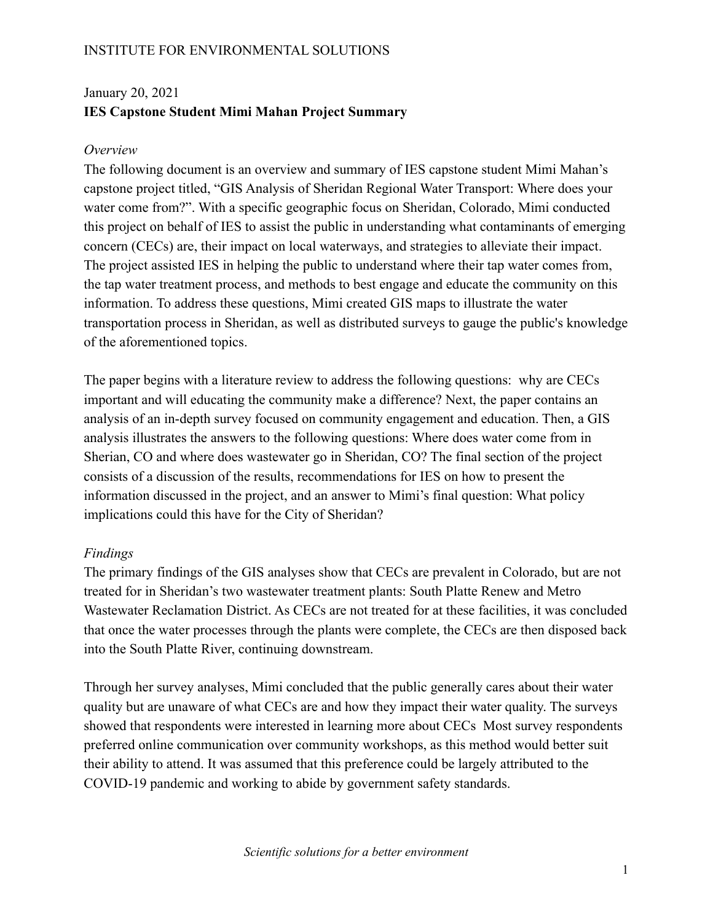## INSTITUTE FOR ENVIRONMENTAL SOLUTIONS

# January 20, 2021 **IES Capstone Student Mimi Mahan Project Summary**

#### *Overview*

The following document is an overview and summary of IES capstone student Mimi Mahan's capstone project titled, "GIS Analysis of Sheridan Regional Water Transport: Where does your water come from?". With a specific geographic focus on Sheridan, Colorado, Mimi conducted this project on behalf of IES to assist the public in understanding what contaminants of emerging concern (CECs) are, their impact on local waterways, and strategies to alleviate their impact. The project assisted IES in helping the public to understand where their tap water comes from, the tap water treatment process, and methods to best engage and educate the community on this information. To address these questions, Mimi created GIS maps to illustrate the water transportation process in Sheridan, as well as distributed surveys to gauge the public's knowledge of the aforementioned topics.

The paper begins with a literature review to address the following questions: why are CECs important and will educating the community make a difference? Next, the paper contains an analysis of an in-depth survey focused on community engagement and education. Then, a GIS analysis illustrates the answers to the following questions: Where does water come from in Sherian, CO and where does wastewater go in Sheridan, CO? The final section of the project consists of a discussion of the results, recommendations for IES on how to present the information discussed in the project, and an answer to Mimi's final question: What policy implications could this have for the City of Sheridan?

#### *Findings*

The primary findings of the GIS analyses show that CECs are prevalent in Colorado, but are not treated for in Sheridan's two wastewater treatment plants: South Platte Renew and Metro Wastewater Reclamation District. As CECs are not treated for at these facilities, it was concluded that once the water processes through the plants were complete, the CECs are then disposed back into the South Platte River, continuing downstream.

Through her survey analyses, Mimi concluded that the public generally cares about their water quality but are unaware of what CECs are and how they impact their water quality. The surveys showed that respondents were interested in learning more about CECs Most survey respondents preferred online communication over community workshops, as this method would better suit their ability to attend. It was assumed that this preference could be largely attributed to the COVID-19 pandemic and working to abide by government safety standards.